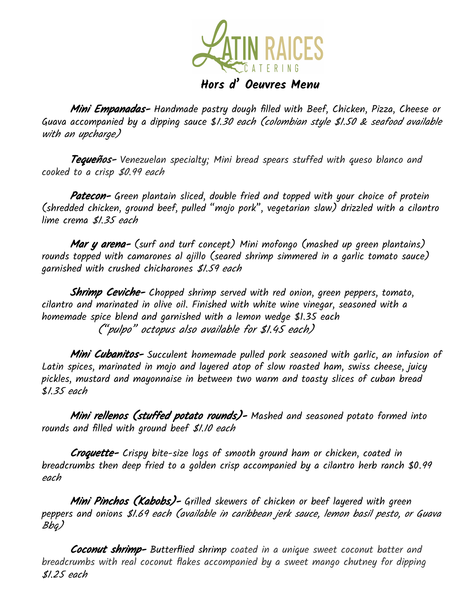

**Mini Empanadas-** Handmade pastry dough filled with Beef, Chicken, Pizza, Cheese or Guava accompanied by a dipping sauce \$1.30 each (colombian style \$1.50 & seafood available with an upcharge)

Tequeños- Venezuelan specialty; Mini bread spears stuffed with queso blanco and cooked to a crisp \$0.99 each

**Patecon-** Green plantain sliced, double fried and topped with your choice of protein (shredded chicken, ground beef, pulled "mojo pork", vegetarian slaw) drizzled with a cilantro lime crema \$1.35 each

**Mar y arena-** (surf and turf concept) Mini mofongo (mashed up green plantains) rounds topped with camarones al ajillo (seared shrimp simmered in a garlic tomato sauce) garnished with crushed chicharones \$1.59 each

Shrimp Ceviche- Chopped shrimp served with red onion, green peppers, tomato, cilantro and marinated in olive oil. Finished with white wine vinegar, seasoned with a homemade spice blend and garnished with a lemon wedge \$1.35 each ("pulpo" octopus also available for \$1.45 each)

**Mini Cubanitos-** Succulent homemade pulled pork seasoned with garlic, an infusion of Latin spices, marinated in mojo and layered atop of slow roasted ham, swiss cheese, juicy pickles, mustard and mayonnaise in between two warm and toasty slices of cuban bread \$1.35 each

**Mini rellenos (stuffed potato rounds)-** Mashed and seasoned potato formed into rounds and filled with ground beef \$1.10 each

Croquette- Crispy bite-size logs of smooth ground ham or chicken, coated in breadcrumbs then deep fried to a golden crisp accompanied by a cilantro herb ranch \$0.99 each

Mini Pinchos (Kabobs)- Grilled skewers of chicken or beef layered with green peppers and onions \$1.69 each (available in caribbean jerk sauce, lemon basil pesto, or Guava Bbq)

Coconut shrimp- Butterflied shrimp coated in a unique sweet coconut batter and breadcrumbs with real coconut flakes accompanied by a sweet mango chutney for dipping \$1.25 each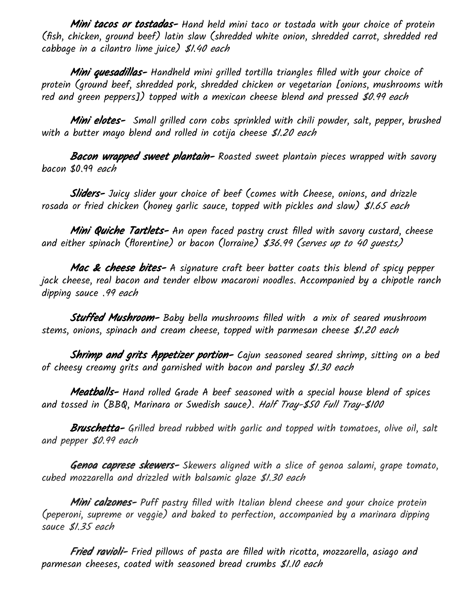**Mini tacos or tostadas-** Hand held mini taco or tostada with your choice of protein (fish, chicken, ground beef) latin slaw (shredded white onion, shredded carrot, shredded red cabbage in a cilantro lime juice) \$1.40 each

**Mini quesadillas-** Handheld mini grilled tortilla triangles filled with your choice of protein (ground beef, shredded pork, shredded chicken or vegetarian [onions, mushrooms with red and green peppers]) topped with a mexican cheese blend and pressed \$0.99 each

**Mini elotes-** Small grilled corn cobs sprinkled with chili powder, salt, pepper, brushed with a butter mayo blend and rolled in cotija cheese \$1.20 each

**Bacon wrapped sweet plantain-** Roasted sweet plantain pieces wrapped with savory bacon \$0.99 each

**Sliders-** Juicy slider your choice of beef (comes with Cheese, onions, and drizzle rosada or fried chicken (honey garlic sauce, topped with pickles and slaw) \$1.65 each

**Mini Quiche Tartlets-** An open faced pastry crust filled with savory custard, cheese and either spinach (florentine) or bacon (lorraine) \$36.99 (serves up to <sup>40</sup> guests)

**Mac & cheese bites-** A signature craft beer batter coats this blend of spicy pepper jack cheese, real bacon and tender elbow macaroni noodles. Accompanied by a chipotle ranch dipping sauce .99 each

**Stuffed Mushroom-** Baby bella mushrooms filled with  $\,$  a mix of seared mushroom stems, onions, spinach and cream cheese, topped with parmesan cheese \$1.20 each

Shrimp and grits Appetizer portion- Cajun seasoned seared shrimp, sitting on a bed of cheesy creamy grits and garnished with bacon and parsley \$1.30 each

**Meatballs-** Hand rolled Grade A beef seasoned with a special house blend of spices and tossed in (BBQ, Marinara or Swedish sauce). Half Tray-\$50 Full Tray-\$100

**Bruschetta-** Grilled bread rubbed with garlic and topped with tomatoes, olive oil, salt and pepper \$0.99 each

Genoa caprese skewers- Skewers aligned with a slice of genoa salami, grape tomato, cubed mozzarella and drizzled with balsamic glaze \$1.30 each

**Mini calzones-** Puff pastry filled with Italian blend cheese and your choice protein (peperoni, supreme or veggie) and baked to perfection, accompanied by a marinara dipping sauce \$1.35 each

**Fried ravioli-** Fried pillows of pasta are filled with ricotta, mozzarella, asiago and parmesan cheeses, coated with seasoned bread crumbs \$1.10 each